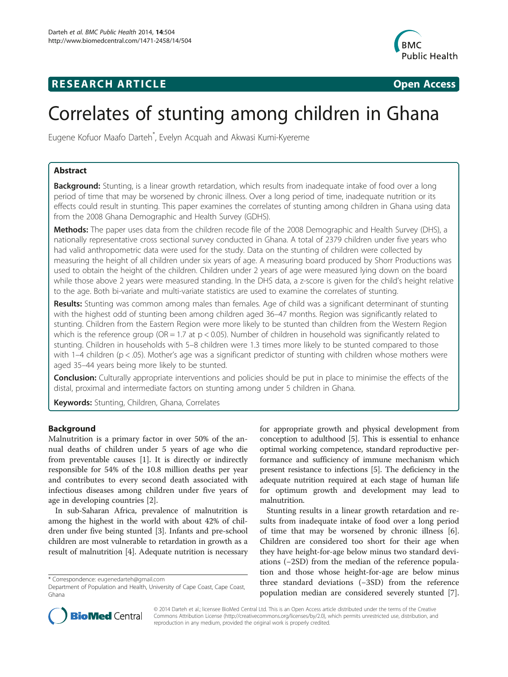# **RESEARCH ARTICLE Example 2014 CONSIDERING CONSIDERING CONSIDERING CONSIDERING CONSIDERING CONSIDERING CONSIDERING CONSIDERING CONSIDERING CONSIDERING CONSIDERING CONSIDERING CONSIDERING CONSIDERING CONSIDERING CONSIDE**



# Correlates of stunting among children in Ghana

Eugene Kofuor Maafo Darteh\* , Evelyn Acquah and Akwasi Kumi-Kyereme

# Abstract

Background: Stunting, is a linear growth retardation, which results from inadequate intake of food over a long period of time that may be worsened by chronic illness. Over a long period of time, inadequate nutrition or its effects could result in stunting. This paper examines the correlates of stunting among children in Ghana using data from the 2008 Ghana Demographic and Health Survey (GDHS).

Methods: The paper uses data from the children recode file of the 2008 Demographic and Health Survey (DHS), a nationally representative cross sectional survey conducted in Ghana. A total of 2379 children under five years who had valid anthropometric data were used for the study. Data on the stunting of children were collected by measuring the height of all children under six years of age. A measuring board produced by Shorr Productions was used to obtain the height of the children. Children under 2 years of age were measured lying down on the board while those above 2 years were measured standing. In the DHS data, a z-score is given for the child's height relative to the age. Both bi-variate and multi-variate statistics are used to examine the correlates of stunting.

Results: Stunting was common among males than females. Age of child was a significant determinant of stunting with the highest odd of stunting been among children aged 36–47 months. Region was significantly related to stunting. Children from the Eastern Region were more likely to be stunted than children from the Western Region which is the reference group (OR = 1.7 at  $p < 0.05$ ). Number of children in household was significantly related to stunting. Children in households with 5–8 children were 1.3 times more likely to be stunted compared to those with 1–4 children (p < .05). Mother's age was a significant predictor of stunting with children whose mothers were aged 35–44 years being more likely to be stunted.

**Conclusion:** Culturally appropriate interventions and policies should be put in place to minimise the effects of the distal, proximal and intermediate factors on stunting among under 5 children in Ghana.

Keywords: Stunting, Children, Ghana, Correlates

# **Background**

Malnutrition is a primary factor in over 50% of the annual deaths of children under 5 years of age who die from preventable causes [[1\]](#page-6-0). It is directly or indirectly responsible for 54% of the 10.8 million deaths per year and contributes to every second death associated with infectious diseases among children under five years of age in developing countries [\[2](#page-6-0)].

In sub-Saharan Africa, prevalence of malnutrition is among the highest in the world with about 42% of children under five being stunted [\[3\]](#page-6-0). Infants and pre-school children are most vulnerable to retardation in growth as a result of malnutrition [[4\]](#page-6-0). Adequate nutrition is necessary

for appropriate growth and physical development from conception to adulthood [[5](#page-6-0)]. This is essential to enhance optimal working competence, standard reproductive performance and sufficiency of immune mechanism which present resistance to infections [[5\]](#page-6-0). The deficiency in the adequate nutrition required at each stage of human life for optimum growth and development may lead to malnutrition.

Stunting results in a linear growth retardation and results from inadequate intake of food over a long period of time that may be worsened by chronic illness [\[6](#page-6-0)]. Children are considered too short for their age when they have height-for-age below minus two standard deviations (−2SD) from the median of the reference population and those whose height-for-age are below minus three standard deviations (−3SD) from the reference population median are considered severely stunted [\[7](#page-6-0)].



© 2014 Darteh et al.; licensee BioMed Central Ltd. This is an Open Access article distributed under the terms of the Creative Commons Attribution License [\(http://creativecommons.org/licenses/by/2.0\)](http://creativecommons.org/licenses/by/2.0), which permits unrestricted use, distribution, and reproduction in any medium, provided the original work is properly credited.

<sup>\*</sup> Correspondence: [eugenedarteh@gmail.com](mailto:eugenedarteh@gmail.com)

Department of Population and Health, University of Cape Coast, Cape Coast, Ghana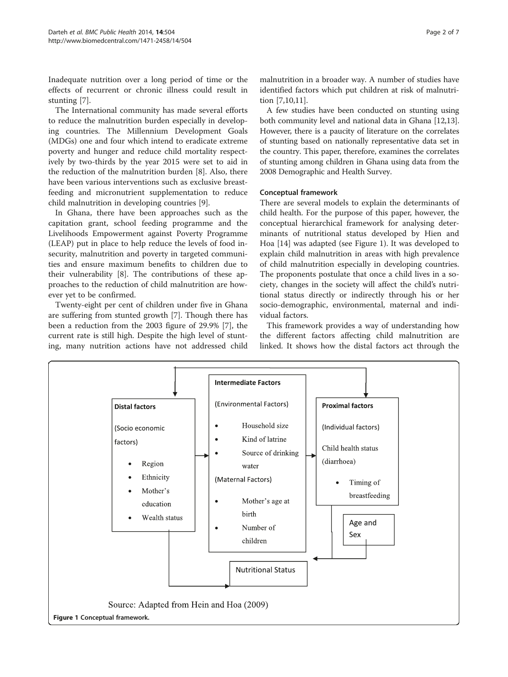Inadequate nutrition over a long period of time or the effects of recurrent or chronic illness could result in stunting [\[7](#page-6-0)].

The International community has made several efforts to reduce the malnutrition burden especially in developing countries. The Millennium Development Goals (MDGs) one and four which intend to eradicate extreme poverty and hunger and reduce child mortality respectively by two-thirds by the year 2015 were set to aid in the reduction of the malnutrition burden [\[8](#page-6-0)]. Also, there have been various interventions such as exclusive breastfeeding and micronutrient supplementation to reduce child malnutrition in developing countries [\[9](#page-6-0)].

In Ghana, there have been approaches such as the capitation grant, school feeding programme and the Livelihoods Empowerment against Poverty Programme (LEAP) put in place to help reduce the levels of food insecurity, malnutrition and poverty in targeted communities and ensure maximum benefits to children due to their vulnerability [\[8](#page-6-0)]. The contributions of these approaches to the reduction of child malnutrition are however yet to be confirmed.

Twenty-eight per cent of children under five in Ghana are suffering from stunted growth [[7\]](#page-6-0). Though there has been a reduction from the 2003 figure of 29.9% [[7\]](#page-6-0), the current rate is still high. Despite the high level of stunting, many nutrition actions have not addressed child malnutrition in a broader way. A number of studies have identified factors which put children at risk of malnutrition [\[7,10,11\]](#page-6-0).

A few studies have been conducted on stunting using both community level and national data in Ghana [\[12,13](#page-6-0)]. However, there is a paucity of literature on the correlates of stunting based on nationally representative data set in the country. This paper, therefore, examines the correlates of stunting among children in Ghana using data from the 2008 Demographic and Health Survey.

#### Conceptual framework

There are several models to explain the determinants of child health. For the purpose of this paper, however, the conceptual hierarchical framework for analysing determinants of nutritional status developed by Hien and Hoa [\[14\]](#page-6-0) was adapted (see Figure 1). It was developed to explain child malnutrition in areas with high prevalence of child malnutrition especially in developing countries. The proponents postulate that once a child lives in a society, changes in the society will affect the child's nutritional status directly or indirectly through his or her socio-demographic, environmental, maternal and individual factors.

This framework provides a way of understanding how the different factors affecting child malnutrition are linked. It shows how the distal factors act through the

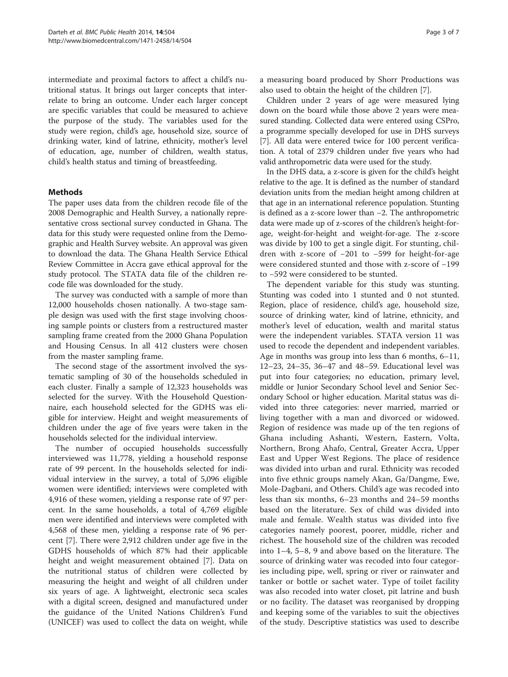intermediate and proximal factors to affect a child's nutritional status. It brings out larger concepts that interrelate to bring an outcome. Under each larger concept are specific variables that could be measured to achieve the purpose of the study. The variables used for the study were region, child's age, household size, source of drinking water, kind of latrine, ethnicity, mother's level of education, age, number of children, wealth status, child's health status and timing of breastfeeding.

## Methods

The paper uses data from the children recode file of the 2008 Demographic and Health Survey, a nationally representative cross sectional survey conducted in Ghana. The data for this study were requested online from the Demographic and Health Survey website. An approval was given to download the data. The Ghana Health Service Ethical Review Committee in Accra gave ethical approval for the study protocol. The STATA data file of the children recode file was downloaded for the study.

The survey was conducted with a sample of more than 12,000 households chosen nationally. A two-stage sample design was used with the first stage involving choosing sample points or clusters from a restructured master sampling frame created from the 2000 Ghana Population and Housing Census. In all 412 clusters were chosen from the master sampling frame.

The second stage of the assortment involved the systematic sampling of 30 of the households scheduled in each cluster. Finally a sample of 12,323 households was selected for the survey. With the Household Questionnaire, each household selected for the GDHS was eligible for interview. Height and weight measurements of children under the age of five years were taken in the households selected for the individual interview.

The number of occupied households successfully interviewed was 11,778, yielding a household response rate of 99 percent. In the households selected for individual interview in the survey, a total of 5,096 eligible women were identified; interviews were completed with 4,916 of these women, yielding a response rate of 97 percent. In the same households, a total of 4,769 eligible men were identified and interviews were completed with 4,568 of these men, yielding a response rate of 96 percent [\[7](#page-6-0)]. There were 2,912 children under age five in the GDHS households of which 87% had their applicable height and weight measurement obtained [\[7](#page-6-0)]. Data on the nutritional status of children were collected by measuring the height and weight of all children under six years of age. A lightweight, electronic seca scales with a digital screen, designed and manufactured under the guidance of the United Nations Children's Fund (UNICEF) was used to collect the data on weight, while

a measuring board produced by Shorr Productions was also used to obtain the height of the children [[7\]](#page-6-0).

Children under 2 years of age were measured lying down on the board while those above 2 years were measured standing. Collected data were entered using CSPro, a programme specially developed for use in DHS surveys [[7\]](#page-6-0). All data were entered twice for 100 percent verification. A total of 2379 children under five years who had valid anthropometric data were used for the study.

In the DHS data, a z-score is given for the child's height relative to the age. It is defined as the number of standard deviation units from the median height among children at that age in an international reference population. Stunting is defined as a z-score lower than −2. The anthropometric data were made up of z-scores of the children's height-forage, weight-for-height and weight-for-age. The z-score was divide by 100 to get a single digit. For stunting, children with z-score of −201 to −599 for height-for-age were considered stunted and those with z-score of −199 to −592 were considered to be stunted.

The dependent variable for this study was stunting. Stunting was coded into 1 stunted and 0 not stunted. Region, place of residence, child's age, household size, source of drinking water, kind of latrine, ethnicity, and mother's level of education, wealth and marital status were the independent variables. STATA version 11 was used to recode the dependent and independent variables. Age in months was group into less than 6 months, 6–11, 12–23, 24–35, 36–47 and 48–59. Educational level was put into four categories; no education, primary level, middle or Junior Secondary School level and Senior Secondary School or higher education. Marital status was divided into three categories: never married, married or living together with a man and divorced or widowed. Region of residence was made up of the ten regions of Ghana including Ashanti, Western, Eastern, Volta, Northern, Brong Ahafo, Central, Greater Accra, Upper East and Upper West Regions. The place of residence was divided into urban and rural. Ethnicity was recoded into five ethnic groups namely Akan, Ga/Dangme, Ewe, Mole-Dagbani, and Others. Child's age was recoded into less than six months, 6–23 months and 24–59 months based on the literature. Sex of child was divided into male and female. Wealth status was divided into five categories namely poorest, poorer, middle, richer and richest. The household size of the children was recoded into 1–4, 5–8, 9 and above based on the literature. The source of drinking water was recoded into four categories including pipe, well, spring or river or rainwater and tanker or bottle or sachet water. Type of toilet facility was also recoded into water closet, pit latrine and bush or no facility. The dataset was reorganised by dropping and keeping some of the variables to suit the objectives of the study. Descriptive statistics was used to describe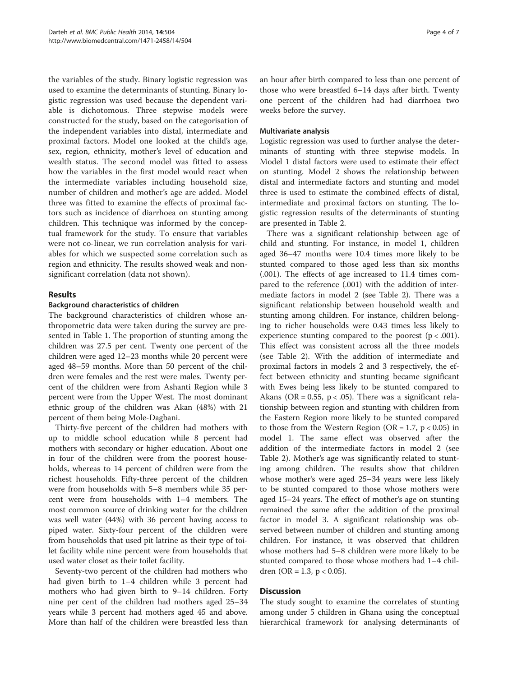the variables of the study. Binary logistic regression was used to examine the determinants of stunting. Binary logistic regression was used because the dependent variable is dichotomous. Three stepwise models were constructed for the study, based on the categorisation of the independent variables into distal, intermediate and proximal factors. Model one looked at the child's age, sex, region, ethnicity, mother's level of education and wealth status. The second model was fitted to assess how the variables in the first model would react when the intermediate variables including household size, number of children and mother's age are added. Model three was fitted to examine the effects of proximal factors such as incidence of diarrhoea on stunting among children. This technique was informed by the conceptual framework for the study. To ensure that variables were not co-linear, we run correlation analysis for variables for which we suspected some correlation such as region and ethnicity. The results showed weak and nonsignificant correlation (data not shown).

## Results

#### Background characteristics of children

The background characteristics of children whose anthropometric data were taken during the survey are presented in Table [1](#page-4-0). The proportion of stunting among the children was 27.5 per cent. Twenty one percent of the children were aged 12–23 months while 20 percent were aged 48–59 months. More than 50 percent of the children were females and the rest were males. Twenty percent of the children were from Ashanti Region while 3 percent were from the Upper West. The most dominant ethnic group of the children was Akan (48%) with 21 percent of them being Mole-Dagbani.

Thirty-five percent of the children had mothers with up to middle school education while 8 percent had mothers with secondary or higher education. About one in four of the children were from the poorest households, whereas to 14 percent of children were from the richest households. Fifty-three percent of the children were from households with 5–8 members while 35 percent were from households with 1–4 members. The most common source of drinking water for the children was well water (44%) with 36 percent having access to piped water. Sixty-four percent of the children were from households that used pit latrine as their type of toilet facility while nine percent were from households that used water closet as their toilet facility.

Seventy-two percent of the children had mothers who had given birth to 1–4 children while 3 percent had mothers who had given birth to 9–14 children. Forty nine per cent of the children had mothers aged 25–34 years while 3 percent had mothers aged 45 and above. More than half of the children were breastfed less than an hour after birth compared to less than one percent of those who were breastfed 6–14 days after birth. Twenty one percent of the children had had diarrhoea two weeks before the survey.

#### Multivariate analysis

Logistic regression was used to further analyse the determinants of stunting with three stepwise models. In Model 1 distal factors were used to estimate their effect on stunting. Model 2 shows the relationship between distal and intermediate factors and stunting and model three is used to estimate the combined effects of distal, intermediate and proximal factors on stunting. The logistic regression results of the determinants of stunting are presented in Table [2.](#page-5-0)

There was a significant relationship between age of child and stunting. For instance, in model 1, children aged 36–47 months were 10.4 times more likely to be stunted compared to those aged less than six months (.001). The effects of age increased to 11.4 times compared to the reference (.001) with the addition of intermediate factors in model 2 (see Table [2](#page-5-0)). There was a significant relationship between household wealth and stunting among children. For instance, children belonging to richer households were 0.43 times less likely to experience stunting compared to the poorest  $(p < .001)$ . This effect was consistent across all the three models (see Table [2](#page-5-0)). With the addition of intermediate and proximal factors in models 2 and 3 respectively, the effect between ethnicity and stunting became significant with Ewes being less likely to be stunted compared to Akans (OR = 0.55,  $p < .05$ ). There was a significant relationship between region and stunting with children from the Eastern Region more likely to be stunted compared to those from the Western Region (OR =  $1.7$ ,  $p < 0.05$ ) in model 1. The same effect was observed after the addition of the intermediate factors in model 2 (see Table [2](#page-5-0)). Mother's age was significantly related to stunting among children. The results show that children whose mother's were aged 25–34 years were less likely to be stunted compared to those whose mothers were aged 15–24 years. The effect of mother's age on stunting remained the same after the addition of the proximal factor in model 3. A significant relationship was observed between number of children and stunting among children. For instance, it was observed that children whose mothers had 5–8 children were more likely to be stunted compared to those whose mothers had 1–4 children (OR = 1.3,  $p < 0.05$ ).

# **Discussion**

The study sought to examine the correlates of stunting among under 5 children in Ghana using the conceptual hierarchical framework for analysing determinants of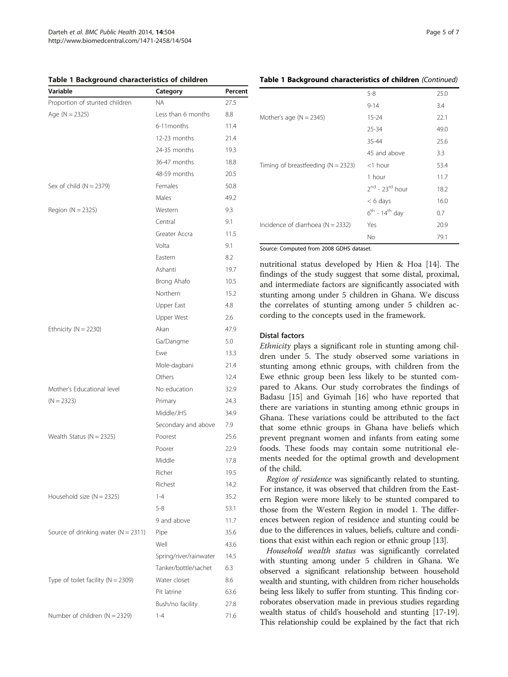<span id="page-4-0"></span>Table 1 Background characteristics of children

| Variable                                | Category               | Percent |
|-----------------------------------------|------------------------|---------|
| Proportion of stunted children          | <b>NA</b>              | 27.5    |
| Age ( $N = 2325$ )                      | Less than 6 months     | 8.8     |
|                                         | 6-11 months            | 11.4    |
|                                         | 12-23 months           | 21.4    |
|                                         | 24-35 months           | 19.3    |
|                                         | 36-47 months           | 18.8    |
|                                         | 48-59 months           | 20.5    |
| Sex of child $(N = 2379)$               | Females                | 50.8    |
|                                         | Males                  | 49.2    |
| Region $(N = 2325)$                     | Western                | 9.3     |
|                                         | Central                | 9.1     |
|                                         | Greater Accra          | 11.5    |
|                                         | Volta                  | 9.1     |
|                                         | Eastern                | 8.2     |
|                                         | Ashanti                | 19.7    |
|                                         | Brong Ahafo            | 10.5    |
|                                         | Northern               | 15.2    |
|                                         | Upper East             | 4.8     |
|                                         | Upper West             | 2.6     |
| Ethnicity ( $N = 2230$ )                | Akan                   | 47.9    |
|                                         | Ga/Dangme              | 5.0     |
|                                         | Ewe                    | 13.3    |
|                                         | Mole-dagbani           | 21.4    |
|                                         | Others                 | 12.4    |
| Mother's Educational level              | No education           | 32.9    |
| $(N = 2323)$                            | Primary                | 24.3    |
|                                         | Middle/JHS             | 34.9    |
|                                         | Secondary and above    | 7.9     |
| Wealth Status ( $N = 2325$ )            | Poorest                | 25.6    |
|                                         | Poorer                 | 22.9    |
|                                         | Middle                 | 17.8    |
|                                         | Richer                 | 19.5    |
|                                         | Richest                | 14.2    |
| Household size $(N = 2325)$             | $1 - 4$                | 35.2    |
|                                         | $5 - 8$                | 53.1    |
|                                         | 9 and above            | 11.7    |
| Source of drinking water ( $N = 2311$ ) | Pipe                   | 35.6    |
|                                         | Well                   | 43.6    |
|                                         | Spring/river/rainwater | 14.5    |
|                                         | Tanker/bottle/sachet   | 6.3     |
| Type of toilet facility ( $N = 2309$ )  | Water closet           | 8.6     |
|                                         | Pit latrine            | 63.6    |
|                                         | Bush/no facility       | 27.8    |
| Number of children $(N = 2329)$         | $1 - 4$                | 71.6    |

#### Table 1 Background characteristics of children (Continued)

|                                          | $5 - 8$                          | 25.0 |  |  |
|------------------------------------------|----------------------------------|------|--|--|
|                                          | $9 - 14$                         | 3.4  |  |  |
| Mother's age $(N = 2345)$                | $15 - 24$                        | 22.1 |  |  |
|                                          | $25 - 34$                        | 49.0 |  |  |
|                                          | 35-44                            | 25.6 |  |  |
|                                          | 45 and above                     | 3.3  |  |  |
| Timing of breastfeeding ( $N = 2323$ )   | $<$ 1 hour                       | 53.4 |  |  |
|                                          | 1 hour                           | 11.7 |  |  |
|                                          | $2^{nd}$ - 23 <sup>rd</sup> hour | 18.2 |  |  |
|                                          | $< 6$ days                       | 16.0 |  |  |
|                                          | $6^{th}$ - 14 <sup>th</sup> day  | 0.7  |  |  |
| Incidence of diarrhoea ( $N = 2332$ )    | Yes                              | 20.9 |  |  |
|                                          | No                               | 79.1 |  |  |
| Source: Computed from 2008 GDHS dataset. |                                  |      |  |  |

nutritional status developed by Hien & Hoa [[14](#page-6-0)]. The findings of the study suggest that some distal, proximal, and intermediate factors are significantly associated with stunting among under 5 children in Ghana. We discuss the correlates of stunting among under 5 children ac-

cording to the concepts used in the framework.

#### Distal factors

Ethnicity plays a significant role in stunting among children under 5. The study observed some variations in stunting among ethnic groups, with children from the Ewe ethnic group been less likely to be stunted compared to Akans. Our study corrobrates the findings of Badasu [[15\]](#page-6-0) and Gyimah [[16](#page-6-0)] who have reported that there are variations in stunting among ethnic groups in Ghana. These variations could be attributed to the fact that some ethnic groups in Ghana have beliefs which prevent pregnant women and infants from eating some foods. These foods may contain some nutritional elements needed for the optimal growth and development of the child.

Region of residence was significantly related to stunting. For instance, it was observed that children from the Eastern Region were more likely to be stunted compared to those from the Western Region in model 1. The differences between region of residence and stunting could be due to the differences in values, beliefs, culture and conditions that exist within each region or ethnic group [[13](#page-6-0)].

Household wealth status was significantly correlated with stunting among under 5 children in Ghana. We observed a significant relationship between household wealth and stunting, with children from richer households being less likely to suffer from stunting. This finding corroborates observation made in previous studies regarding wealth status of child's household and stunting [[17](#page-6-0)-[19](#page-6-0)]. This relationship could be explained by the fact that rich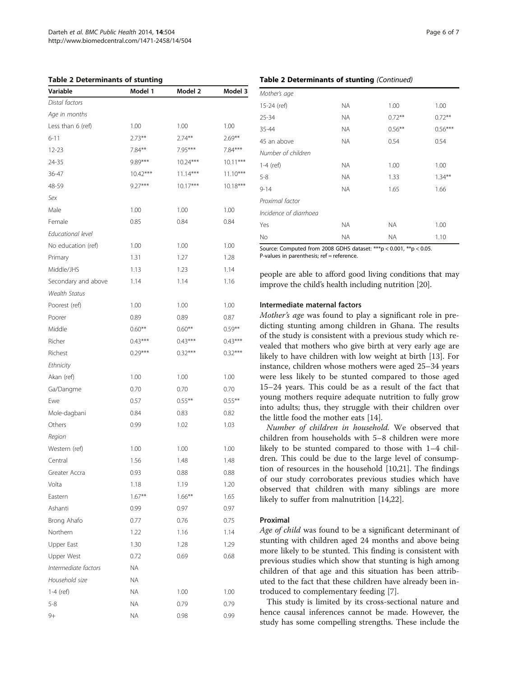#### <span id="page-5-0"></span>Table 2 Determinants of stunting

| Variable             | Model 1    | Model 2    | Model 3    |
|----------------------|------------|------------|------------|
| Distal factors       |            |            |            |
| Age in months        |            |            |            |
| Less than 6 (ref)    | 1.00       | 1.00       | 1.00       |
| $6 - 11$             | $2.73***$  | $2.74***$  | $2.69***$  |
| 12-23                | $7.84***$  | 7.95***    | $7.84***$  |
| 24-35                | 9.89***    | $10.24***$ | $10.11***$ |
| 36-47                | $10.42***$ | $11.14***$ | $11.10***$ |
| 48-59                | $9.27***$  | $10.17***$ | $10.18***$ |
| Sex                  |            |            |            |
| Male                 | 1.00       | 1.00       | 1.00       |
| Female               | 0.85       | 0.84       | 0.84       |
| Educational level    |            |            |            |
| No education (ref)   | 1.00       | 1.00       | 1.00       |
| Primary              | 1.31       | 1.27       | 1.28       |
| Middle/JHS           | 1.13       | 1.23       | 1.14       |
| Secondary and above  | 1.14       | 1.14       | 1.16       |
| <b>Wealth Status</b> |            |            |            |
| Poorest (ref)        | 1.00       | 1.00       | 1.00       |
| Poorer               | 0.89       | 0.89       | 0.87       |
| Middle               | $0.60**$   | $0.60***$  | $0.59***$  |
| Richer               | $0.43***$  | $0.43***$  | $0.43***$  |
| Richest              | $0.29***$  | $0.32***$  | $0.32***$  |
| Ethnicity            |            |            |            |
| Akan (ref)           | 1.00       | 1.00       | 1.00       |
| Ga/Dangme            | 0.70       | 0.70       | 0.70       |
| Ewe                  | 0.57       | $0.55***$  | $0.55***$  |
| Mole-dagbani         | 0.84       | 0.83       | 0.82       |
| Others               | 0.99       | 1.02       | 1.03       |
| Region               |            |            |            |
| Western (ref)        | 1.00       | 1.00       | 1.00       |
| Central              | 1.56       | 1.48       | 1.48       |
| Greater Accra        | 0.93       | 0.88       | 0.88       |
| Volta                | 1.18       | 1.19       | 1.20       |
| Eastern              | $1.67**$   | $1.66***$  | 1.65       |
| Ashanti              | 0.99       | 0.97       | 0.97       |
| Brong Ahafo          | 0.77       | 0.76       | 0.75       |
| Northern             | 1.22       | 1.16       | 1.14       |
| Upper East           | 1.30       | 1.28       | 1.29       |
| Upper West           | 0.72       | 0.69       | 0.68       |
| Intermediate factors | <b>NA</b>  |            |            |
| Household size       | <b>NA</b>  |            |            |
| 1-4 (ref)            | <b>ΝΑ</b>  | 1.00       | 1.00       |
| $5 - 8$              | <b>ΝΑ</b>  | 0.79       | 0.79       |
| 9+                   | <b>ΝΑ</b>  | 0.98       | 0.99       |

#### Table 2 Determinants of stunting (Continued)

| Mother's age           |           |           |           |
|------------------------|-----------|-----------|-----------|
| 15-24 (ref)            | <b>NA</b> | 1.00      | 1.00      |
| 25-34                  | <b>NA</b> | $0.72***$ | $0.72***$ |
| 35-44                  | <b>NA</b> | $0.56***$ | $0.56***$ |
| 45 an above            | <b>NA</b> | 0.54      | 0.54      |
| Number of children     |           |           |           |
| $1-4$ (ref)            | <b>NA</b> | 1.00      | 1.00      |
| $5 - 8$                | <b>NA</b> | 1.33      | $1.34***$ |
| $9 - 14$               | <b>NA</b> | 1.65      | 1.66      |
| Proximal factor        |           |           |           |
| Incidence of diarrhoea |           |           |           |
| Yes                    | <b>NA</b> | <b>NA</b> | 1.00      |
| No                     | <b>NA</b> | <b>NA</b> | 1.10      |

Source: Computed from 2008 GDHS dataset: \*\*\*p < 0.001, \*\*p < 0.05. P-values in parenthesis; ref = reference.

people are able to afford good living conditions that may improve the child's health including nutrition [\[20](#page-6-0)].

#### Intermediate maternal factors

Mother's age was found to play a significant role in predicting stunting among children in Ghana. The results of the study is consistent with a previous study which revealed that mothers who give birth at very early age are likely to have children with low weight at birth [\[13\]](#page-6-0). For instance, children whose mothers were aged 25–34 years were less likely to be stunted compared to those aged 15–24 years. This could be as a result of the fact that young mothers require adequate nutrition to fully grow into adults; thus, they struggle with their children over the little food the mother eats [[14\]](#page-6-0).

Number of children in household. We observed that children from households with 5–8 children were more likely to be stunted compared to those with 1–4 children. This could be due to the large level of consumption of resources in the household [[10,21](#page-6-0)]. The findings of our study corroborates previous studies which have observed that children with many siblings are more likely to suffer from malnutrition [[14,22](#page-6-0)].

#### Proximal

Age of child was found to be a significant determinant of stunting with children aged 24 months and above being more likely to be stunted. This finding is consistent with previous studies which show that stunting is high among children of that age and this situation has been attributed to the fact that these children have already been introduced to complementary feeding [[7](#page-6-0)].

This study is limited by its cross-sectional nature and hence causal inferences cannot be made. However, the study has some compelling strengths. These include the